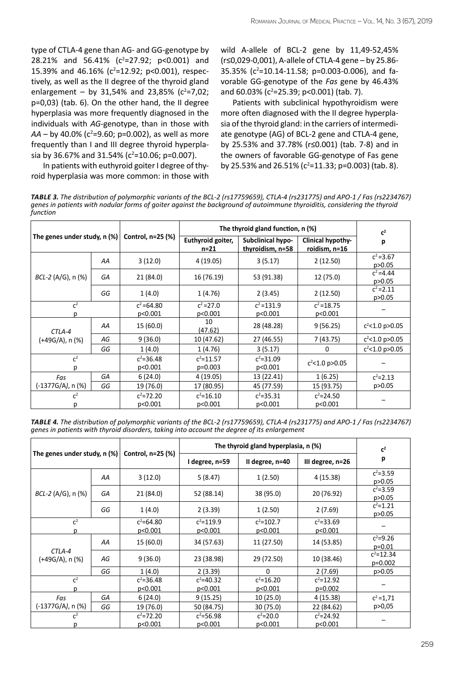type of CTLA-4 gene than AG- and GG-genotype by 28.21% and 56.41% ( $c^2$ =27.92; p<0.001) and 15.39% and 46.16% ( $c^2$ =12.92; p<0.001), respectively, as well as the ІІ degree of the thyroid gland enlargement - by 31,54% and 23,85% ( $c^2$ =7,02; р=0,03) (tab. 6). On the other hand, the ІІ degree hyperplasia was more frequently diagnosed in the individuals with *AG*-genotype, than in those with  $AA - by 40.0%$  (c<sup>2</sup>=9.60; p=0.002), as well as more frequently than І and ІІІ degree thyroid hyperplasia by 36.67% and 31.54% ( $c^2$ =10.06; p=0.007).

wild A-allele of BCL-2 gene by 11,49-52,45% (r≤0,029-0,001), A-allele of CTLA-4 gene – by 25.86- 35.35% (c<sup>2</sup>=10.14-11.58; p=0.003-0.006), and favorable GG-genotype of the *Fas* gene by 46.43% and 60.03% (c<sup>2</sup>=25.39; p<0.001) (tab. 7).

Patients with subclinical hypothyroidism were more often diagnosed with the II degree hyperplasia of the thyroid gland: in the carriers of intermediate genotype (AG) of BCL-2 gene and CTLA-4 gene, by 25.53% and 37.78% (r≤0.001) (tab. 7-8) and in the owners of favorable GG-genotype of Fas gene by 25.53% and 26.51% ( $c^2$ =11.33; p=0.003) (tab. 8).

In patients with euthyroid goiter I degree of thyroid hyperplasia was more common: in those with

*Table 3. The distribution of polymorphic variants of the BCL-2 (rs17759659), CTLA-4 (rs231775) and APO-1 / Fas (rs2234767) genes in patients with nodular forms of goiter against the background of autoimmune thyroiditis, considering the thyroid function*

| The genes under study, $n$ (%) |    |                          | The thyroid gland function, n (%) | c <sup>2</sup>                               |                                           |                          |
|--------------------------------|----|--------------------------|-----------------------------------|----------------------------------------------|-------------------------------------------|--------------------------|
|                                |    | Control, n=25 (%)        | Euthyroid goiter,<br>$n = 21$     | <b>Subclinical hypo-</b><br>thyroidism, n=58 | <b>Clinical hypothy-</b><br>roidism, n=16 | р                        |
|                                | AA | 3(12.0)                  | 4 (19.05)                         | 3(5.17)                                      | 2(12.50)                                  | $c^2 = 3.67$<br>p > 0.05 |
| <i>BCL-2</i> (A/G), n (%)      | GA | 21 (84.0)                | 16 (76.19)                        | 53 (91.38)                                   | 12 (75.0)                                 | $C^2 = 4.44$<br>p > 0.05 |
|                                | GG | 1(4.0)                   | 1(4.76)                           | 2(3.45)                                      | 2(12.50)                                  | $c^2 = 2.11$<br>p > 0.05 |
| $\overline{c^2}$               |    | $c^2 = 64.80$<br>p<0.001 | $c^2 = 27.0$<br>p<0.001           | $c^2$ =131.9<br>p<0.001                      | $c^2$ =18.75<br>p<0.001                   |                          |
| CTLA-4                         | AA | 15 (60.0)                | 10<br>(47.62)                     | 28 (48.28)                                   | 9(56.25)                                  | $c^2$ <1.0 p>0.05        |
| (+49G/A), n (%)                | AG | 9(36.0)                  | 10 (47.62)                        | 27 (46.55)                                   | 7(43.75)                                  | $c^2$ <1.0 p>0.05        |
|                                | GG | 1(4.0)                   | 1(4.76)                           | 3(5.17)                                      | 0                                         | $c^2$ <1.0 p>0.05        |
| $C^2$<br>р                     |    | $c^2 = 36.48$<br>p<0.001 | $c^2$ =11.57<br>$p=0.003$         | $c^2 = 31.09$<br>p<0.001                     | $c^2$ <1.0 p>0.05                         |                          |
| Fas                            | GA | 6(24.0)                  | 4(19.05)                          | 13 (22.41)                                   | 1(6.25)                                   | $c^2 = 2.13$             |
| (-1377G/A), n (%)              | GG | 19 (76.0)                | 17 (80.95)                        | 45 (77.59)                                   | 15 (93.75)                                | p>0.05                   |
| $C^2$<br>Ŋ                     |    | $c^2 = 72.20$<br>p<0.001 | $c^2 = 16.10$<br>p<0.001          | $c^2 = 35.31$<br>p<0.001                     | $c^2 = 24.50$<br>p<0.001                  |                          |

*Table 4. The distribution of polymorphic variants of the BCL-2 (rs17759659), CTLA-4 (rs231775) and APO-1 / Fas (rs2234767) genes in patients with thyroid disorders, taking into account the degree of its enlargement*

| The genes under study, n $(\%)$ |    |                          | The thyroid gland hyperplasia, n (%) | $\mathbf{c}^2$           |                            |                           |
|---------------------------------|----|--------------------------|--------------------------------------|--------------------------|----------------------------|---------------------------|
|                                 |    | Control, n=25 (%)        | I degree, n=59                       | II degree, n=40          | III degree, n=26           | p                         |
|                                 | AA | 3(12.0)                  | 5 (8.47)                             | 1(2.50)                  | 4 (15.38)                  | $c^2 = 3.59$<br>p > 0.05  |
| <i>BCL-2</i> (A/G), n (%)       | GA | 21 (84.0)                | 52 (88.14)                           | 38 (95.0)                | 20 (76.92)                 | $c^2 = 3.59$<br>p > 0.05  |
|                                 | GG | 1(4.0)                   | 2(3.39)                              | 1(2.50)                  | 2(7.69)                    | $c^2 = 1.21$<br>p > 0.05  |
| $C^2$<br>n                      |    | $c^2 = 64.80$<br>p<0.001 | $c^2$ =119.9<br>p<0.001              | $c^2 = 102.7$<br>p<0.001 | $c^2 = 33.69$<br>p<0.001   |                           |
|                                 | AA | 15 (60.0)                | 34 (57.63)                           | 11 (27.50)               | 14 (53.85)                 | $c^2 = 9.26$<br>$p=0.01$  |
| CTLA-4<br>(+49G/A), n (%)       | AG | 9(36.0)                  | 23 (38.98)                           | 29 (72.50)               | 10 (38.46)                 | $c^2$ =12.34<br>$p=0.002$ |
|                                 | GG | 1(4.0)                   | 2(3.39)                              | $\Omega$                 | 2(7.69)                    | p > 0.05                  |
| c <sup>2</sup>                  |    | $c^2 = 36.48$<br>p<0.001 | $c^2$ =40.32<br>p<0.001              | $c^2 = 16.20$<br>p<0.001 | $c^2 = 12.92$<br>$p=0.002$ |                           |
| Fas                             | GA | 6(24.0)                  | 9(15.25)                             | 10(25.0)                 | 4 (15.38)                  | $c^2 = 1.71$              |
| (-1377G/A), n (%)               | GG | 19 (76.0)                | 50 (84.75)                           | 30(75.0)                 | 22 (84.62)                 | p > 0,05                  |
| $C^2$                           |    | $c^2 = 72.20$<br>p<0.001 | $c^2$ =56.98<br>p<0.001              | $c^2 = 20.0$<br>p<0.001  | $c^2 = 24.92$<br>p<0.001   |                           |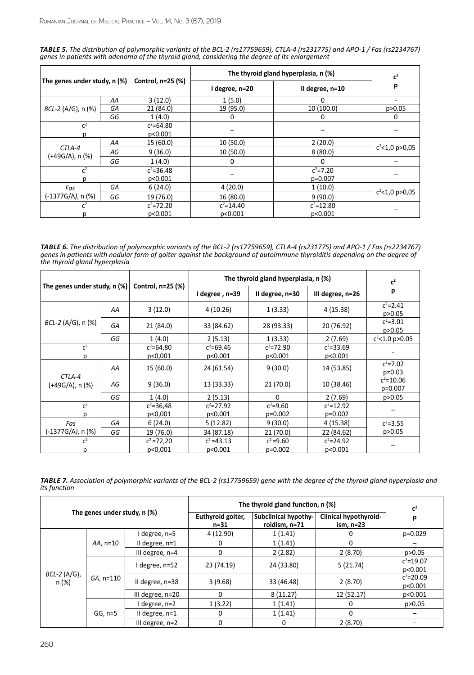| TABLE 5. The distribution of polymorphic variants of the BCL-2 (rs17759659), CTLA-4 (rs231775) and APO-1 / Fas (rs2234767) |
|----------------------------------------------------------------------------------------------------------------------------|
| genes in patients with adenoma of the thyroid gland, considering the degree of its enlargement                             |

| The genes under study, $n$ (%)       |    |                                     | The thyroid gland hyperplasia, n (%) | c <sup>2</sup>  |                   |  |
|--------------------------------------|----|-------------------------------------|--------------------------------------|-----------------|-------------------|--|
|                                      |    | Control, n=25 (%)<br>I degree, n=20 |                                      | II degree, n=10 | p                 |  |
|                                      | AA | 3(12.0)                             | 1(5.0)                               | 0               |                   |  |
| $BCL-2 (A/G), n (%)$                 | GA | 21 (84.0)                           | 19 (95.0)                            | 10 (100.0)      | p > 0.05          |  |
|                                      | GG | 1(4.0)                              | 0                                    | 0               | 0                 |  |
| $C^2$                                |    | $c^2 = 64.80$                       |                                      |                 |                   |  |
|                                      |    | p<0.001                             |                                      |                 |                   |  |
|                                      | AA | 15 (60.0)                           | 10(50.0)                             | 2(20.0)         | $c^2$ <1,0 p>0,05 |  |
| CTLA-4<br>(+49G/A), n (%)            | AG | 9(36.0)                             | 10(50.0)                             | 8(80.0)         |                   |  |
|                                      | GG | 1(4.0)                              | 0                                    | 0               |                   |  |
| $C^2$                                |    | $c^2 = 36.48$                       |                                      | $c^2 = 7.20$    |                   |  |
|                                      |    | p<0.001                             |                                      | $p=0.007$       |                   |  |
| GA<br>Fas<br>(-1377G/A), n (%)<br>GG |    | 6(24.0)                             | 4(20.0)                              | 1(10.0)         | $c^2$ <1,0 p>0,05 |  |
|                                      |    | 19 (76.0)                           | 16 (80.0)                            | 9(90.0)         |                   |  |
| $\mathsf{C}^2$                       |    | $c^2 = 72.20$                       | $c^2 = 14.40$                        | $c^2 = 12.80$   |                   |  |
|                                      |    | p<0.001                             | p<0.001                              | p<0.001         |                   |  |

*Table 6. The distribution of polymorphic variants of the BCL-2 (rs17759659), CTLA-4 (rs231775) and APO-1 / Fas (rs2234767) genes in patients with nodular form of goiter against the background of autoimmune thyroiditis depending on the degree of the thyroid gland hyperplasia*

| The genes under study, n $(\%)$ |    |                          | The thyroid gland hyperplasia, n (%) | c <sup>2</sup>            |                           |                          |
|---------------------------------|----|--------------------------|--------------------------------------|---------------------------|---------------------------|--------------------------|
|                                 |    | Control, n=25 (%)        | I degree, n=39                       | II degree, n=30           | III degree, n=26          | р                        |
|                                 | AA | 3(12.0)                  | 4 (10.26)                            | 1(3.33)                   | 4(15.38)                  | $c^2 = 2.41$<br>p > 0.05 |
| BCL-2 (A/G), n (%)              | GA | 21 (84.0)                | 33 (84.62)                           | 28 (93.33)                | 20 (76.92)                | $c^2 = 3.01$<br>p > 0.05 |
|                                 | GG | 1(4.0)                   | 2(5.13)                              | 1(3.33)                   | 2(7.69)                   | $c^2$ <1.0 p>0.05        |
| c <sup>2</sup>                  |    | $c^2 = 64,80$<br>p<0,001 | $c^2 = 69.46$<br>p<0.001             | $c^2 = 72.90$<br>p<0.001  | $c^2 = 33.69$<br>p<0.001  |                          |
| CTLA-4<br>(+49G/A), n (%)       | AA | 15 (60.0)                | 24 (61.54)                           | 9(30.0)                   | 14 (53.85)                | $c^2 = 7.02$<br>$p=0.03$ |
|                                 | AG | 9(36.0)                  | 13 (33.33)                           | 21 (70.0)                 | 10 (38.46)                | $c^2$ =10.06<br>p=0.007  |
|                                 | GG | 1(4.0)                   | 2(5.13)                              | $\Omega$                  | 2(7.69)                   | p > 0.05                 |
| $C^2$                           |    | $c^2 = 36,48$<br>p<0,001 | $c^2 = 27.92$<br>p<0.001             | $c^2 = 9.60$<br>$p=0.002$ | $c^2$ =12.92<br>$p=0.002$ |                          |
| Fas                             | GA | 6(24.0)                  | 5(12.82)                             | 9(30.0)                   | 4 (15.38)                 | $c^2 = 3.55$             |
| (-1377G/A), n (%)               | GG | 19 (76.0)                | 34 (87.18)                           | 21 (70.0)                 | 22 (84.62)                | p > 0.05                 |
| $C^2$                           |    | $c^2 = 72,20$<br>p<0,001 | $c^2$ =43.13<br>p<0.001              | $c^2 = 9.60$<br>$p=0.002$ | $c^2 = 24.92$<br>p<0.001  |                          |

*Table 7. Association of polymorphic variants of the BCL-2 (rs17759659) gene with the degree of the thyroid gland hyperplasia and its function* 

|                              |              | The thyroid gland function, n (%) | c <sup>2</sup>            |                                       |                                           |                          |
|------------------------------|--------------|-----------------------------------|---------------------------|---------------------------------------|-------------------------------------------|--------------------------|
| The genes under study, n (%) |              |                                   | Euthyroid goiter,<br>n=31 | Subclinical hypothy-<br>roidism, n=71 | <b>Clinical hypothyroid-</b><br>ism, n=23 | р                        |
|                              |              | degree, n=5                       | 4 (12.90)                 | 1(1.41)                               |                                           | $p=0.029$                |
| BCL-2 (A/G),<br>n (%)        | AA, n=10     | II degree, $n=1$                  |                           | 1(1.41)                               | 0                                         |                          |
|                              |              | III degree, $n=4$                 |                           | 2(2.82)                               | 2(8.70)                                   | p>0.05                   |
|                              | $GA$ , n=110 | I degree, n=52                    | 23 (74.19)                | 24 (33.80)                            | 5(21.74)                                  | $c^2 = 19.07$<br>p<0.001 |
|                              |              | II degree, n=38                   | 3(9.68)                   | 33 (46.48)                            | 2(8.70)                                   | $c^2 = 20.09$<br>p<0.001 |
|                              |              | III degree, n=20                  | 0                         | 8(11.27)                              | 12 (52.17)                                | p<0.001                  |
|                              |              | I degree, n=2                     | 1(3.22)                   | 1(1.41)                               | 0                                         | p > 0.05                 |
|                              | $GG, n=5$    | II degree, $n=1$                  |                           | 1(1.41)                               | 0                                         |                          |
|                              |              | III degree, $n=2$                 |                           | 0                                     | 2(8.70)                                   |                          |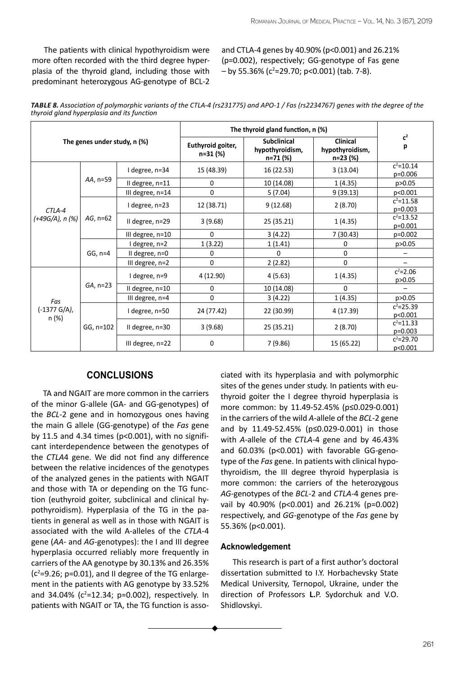The patients with clinical hypothyroidism were more often recorded with the third degree hyperplasia of the thyroid gland, including those with predominant heterozygous AG-genotype of BCL-2 and CTLA-4 genes by 40.90% (p<0.001) and 26.21% (p=0.002), respectively; GG-genotype of Fas gene  $-$  by 55.36% (c<sup>2</sup>=29.70; p<0.001) (tab. 7-8).

| TABLE 8. Association of polymorphic variants of the CTLA-4 (rs231775) and APO-1 / Fas (rs2234767) genes with the degree of the |  |
|--------------------------------------------------------------------------------------------------------------------------------|--|
| thyroid gland hyperplasia and its function                                                                                     |  |

|                              |             | The thyroid gland function, n (%) |                               |                                                   |                                                |                           |
|------------------------------|-------------|-----------------------------------|-------------------------------|---------------------------------------------------|------------------------------------------------|---------------------------|
| The genes under study, n (%) |             |                                   | Euthyroid goiter,<br>n=31 (%) | <b>Subclinical</b><br>hypothyroidism,<br>n=71 (%) | <b>Clinical</b><br>hypothyroidism,<br>n=23 (%) | $\mathbf{c}^2$<br>р       |
|                              |             | I degree, n=34                    | 15 (48.39)                    | 16 (22.53)                                        | 3(13.04)                                       | $c^2$ =10.14<br>p=0.006   |
|                              | AA, n=59    | II degree, n=11                   | $\mathbf 0$                   | 10 (14.08)                                        | 1(4.35)                                        | p > 0.05                  |
|                              |             | III degree, n=14                  | $\mathbf{0}$                  | 5 (7.04)                                          | 9(39.13)                                       | p<0.001                   |
| CTLA-4<br>(+49G/A), n (%)    |             | I degree, n=23                    | 12 (38.71)                    | 9(12.68)                                          | 2(8.70)                                        | $c^2$ =11.58<br>$p=0.003$ |
|                              | $AG, n=62$  | II degree, n=29                   | 3(9.68)                       | 25 (35.21)                                        | 1(4.35)                                        | $c^2$ =13.52<br>$p=0.001$ |
|                              |             | III degree, n=10                  | $\Omega$                      | 3(4.22)                                           | 7(30.43)                                       | $p=0.002$                 |
|                              | $GG, n=4$   | I degree, n=2                     | 1(3.22)                       | 1(1.41)                                           | 0                                              | p > 0.05                  |
|                              |             | II degree, n=0                    | $\Omega$                      | $\Omega$                                          | 0                                              |                           |
|                              |             | III degree, n=2                   | $\mathbf{0}$                  | 2(2.82)                                           | $\pmb{0}$                                      |                           |
|                              | $GA$ , n=23 | I degree, n=9                     | 4 (12.90)                     | 4(5.63)                                           | 1(4.35)                                        | $c^2 = 2.06$<br>p > 0.05  |
|                              |             | II degree, n=10                   | 0                             | 10 (14.08)                                        | $\Omega$                                       |                           |
| Fas<br>(-1377 G/A),<br>n (%) |             | III degree, n=4                   | 0                             | 3(4.22)                                           | 1(4.35)                                        | p > 0.05                  |
|                              | GG, n=102   | I degree, n=50                    | 24 (77.42)                    | 22 (30.99)                                        | 4 (17.39)                                      | $c^2 = 25.39$<br>p<0.001  |
|                              |             | II degree, n=30                   | 3(9.68)                       | 25 (35.21)                                        | 2(8.70)                                        | $c^2$ =11.33<br>$p=0.003$ |
|                              |             | III degree, n=22                  | $\mathbf{0}$                  | 7 (9.86)                                          | 15 (65.22)                                     | $c^2 = 29.70$<br>p<0.001  |

## **Conclusions**

TA and NGAIT are more common in the carriers of the minor G-allele (GА- and GG-genotypes) of the *BCL*-2 gene and in homozygous ones having the main G allele (GG-genotype) of the *Fas* gene by 11.5 and 4.34 times (р<0.001), with no significant interdependence between the genotypes of the *CTLA*4 gene. We did not find any difference between the relative incidences of the genotypes of the analyzed genes in the patients with NGAIT and those with TA or depending on the TG function (euthyroid goiter, subclinical and clinical hypothyroidism). Hyperplasia of the TG in the patients in general as well as in those with NGAIT is associated with the wild A-alleles of the *CTLA*-4 gene (*АА*- and *AG*-genotypes): the І and ІІІ degree hyperplasia occurred reliably more frequently in carriers of the AA genotype by 30.13% and 26.35%  $(c<sup>2</sup>=9.26; p=0.01)$ , and II degree of the TG enlargement in the patients with AG genotype by 33.52% and 34.04% ( $c^2$ =12.34; p=0.002), respectively. In patients with NGAIT or TA, the TG function is asso-

ciated with its hyperplasia and with polymorphic sites of the genes under study. In patients with euthyroid goiter the І degree thyroid hyperplasia is more common: by 11.49-52.45% (р≤0.029-0.001) in the carriers of the wild *А*-allele of the *BCL*-2 gene and by 11.49-52.45% (р≤0.029-0.001) in those with *А*-allele of the *CTLA*-4 gene and by 46.43% and 60.03% (p<0.001) with favorable GG-genotype of the *Fas* gene. In patients with clinical hypothyroidism, the ІІІ degree thyroid hyperplasia is more common: the carriers of the heterozygous *AG*-genotypes of the *BCL*-2 and *CTLA*-4 genes prevail by 40.90% (p<0.001) and 26.21% (p=0.002) respectively, and *GG*-genotype of the *Fas* gene by 55.36% (р<0.001).

## **Acknowledgement**

This research is part of a first author's doctoral dissertation submitted to I.Y. Horbachevsky State Medical University, Ternopol, Ukraine, under the direction of Professors **L.**P. Sydorchuk and V.O. Shidlovskyi.